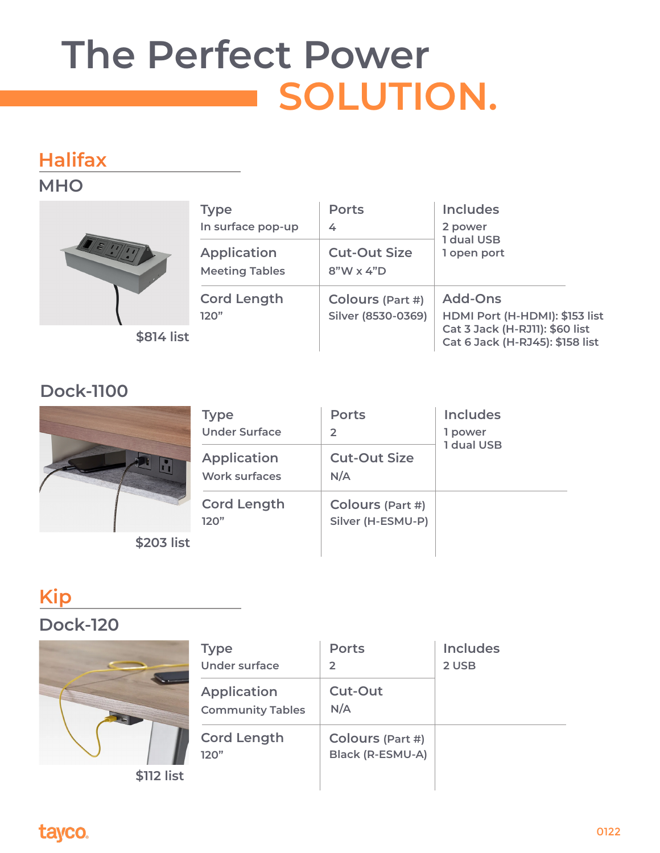# **The Perfect Power SOLUTION.**

## **Halifax**

#### **MHO**



| <b>Type</b>                | <b>Ports</b>                           | <b>Includes</b>                                                                                                       |
|----------------------------|----------------------------------------|-----------------------------------------------------------------------------------------------------------------------|
| In surface pop-up          | 4                                      | 2 power                                                                                                               |
| Application                | <b>Cut-Out Size</b>                    | 1 dual USB                                                                                                            |
| <b>Meeting Tables</b>      | $8"W \times 4"D$                       | 1 open port                                                                                                           |
| <b>Cord Length</b><br>120" | Colours (Part #)<br>Silver (8530-0369) | <b>Add-Ons</b><br>HDMI Port (H-HDMI): \$153 list<br>Cat 3 Jack (H-RJ11): \$60 list<br>Cat 6 Jack (H-RJ45): \$158 list |

#### **Dock-1100**



**\$203 list**

| <b>Type</b>                         | <b>Ports</b>                          | <b>Includes</b> |
|-------------------------------------|---------------------------------------|-----------------|
| <b>Under Surface</b>                | $\mathcal{L}$                         | 1 power         |
| <b>Application</b><br>Work surfaces | <b>Cut-Out Size</b><br>N/A            | 1 dual USB      |
| <b>Cord Length</b><br>120"          | Colours (Part #)<br>Silver (H-ESMU-P) |                 |

## **Kip**

#### **Dock-120**



**\$112 list**

| <b>Type</b><br><b>Under surface</b>           | <b>Ports</b><br>$\mathcal{P}$        | <b>Includes</b><br>2 USB |
|-----------------------------------------------|--------------------------------------|--------------------------|
| <b>Application</b><br><b>Community Tables</b> | <b>Cut-Out</b><br>N/A                |                          |
| <b>Cord Length</b><br>120"                    | Colours (Part #)<br>Black (R-ESMU-A) |                          |

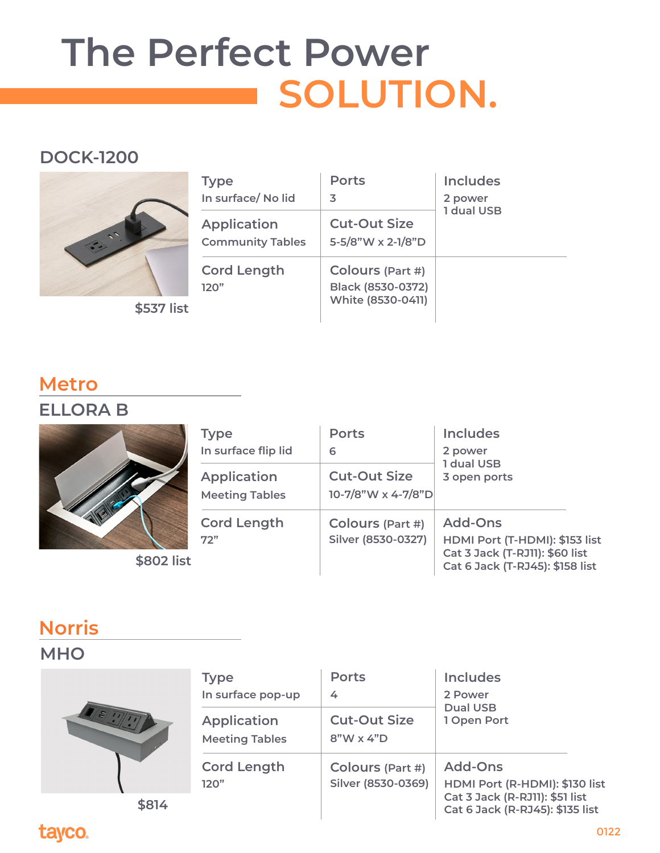## **The Perfect Power SOLUTION.**

#### **DOCK-1200**



| <b>Type</b><br>In surface/No lid              | <b>Ports</b><br>3                                                 | <b>Includes</b><br>2 power<br>1 dual USB |
|-----------------------------------------------|-------------------------------------------------------------------|------------------------------------------|
| <b>Application</b><br><b>Community Tables</b> | <b>Cut-Out Size</b><br>5-5/8"W x 2-1/8"D                          |                                          |
| <b>Cord Length</b><br>120"                    | Colours (Part #)<br><b>Black (8530-0372)</b><br>White (8530-0411) |                                          |

### **Metro**

**ELLORA B**



**\$802 list**

| <b>Type</b>                                 | <b>Ports</b>                                  | <b>Includes</b>                                                                                                       |
|---------------------------------------------|-----------------------------------------------|-----------------------------------------------------------------------------------------------------------------------|
| In surface flip lid                         | 6                                             | 2 power                                                                                                               |
| <b>Application</b><br><b>Meeting Tables</b> | <b>Cut-Out Size</b><br>10-7/8"W x 4-7/8"D     | 1 dual USB<br>3 open ports                                                                                            |
| <b>Cord Length</b><br>72"                   | <b>Colours (Part #)</b><br>Silver (8530-0327) | <b>Add-Ons</b><br>HDMI Port (T-HDMI): \$153 list<br>Cat 3 Jack (T-RJ11): \$60 list<br>Cat 6 Jack (T-RJ45): \$158 list |

## **Norris**

#### **MHO**



| <b>Type</b><br>In surface pop-up            | <b>Ports</b><br>4                       | <b>Includes</b><br>2 Power<br><b>Dual USB</b><br>1 Open Port                                                          |
|---------------------------------------------|-----------------------------------------|-----------------------------------------------------------------------------------------------------------------------|
| <b>Application</b><br><b>Meeting Tables</b> | <b>Cut-Out Size</b><br>$8"W \times 4"D$ |                                                                                                                       |
| <b>Cord Length</b><br>120"                  | Colours (Part #)<br>Silver (8530-0369)  | <b>Add-Ons</b><br>HDMI Port (R-HDMI): \$130 list<br>Cat 3 Jack (R-RJ11): \$51 list<br>Cat 6 Jack (R-RJ45): \$135 list |

**\$814** 

## tayco.